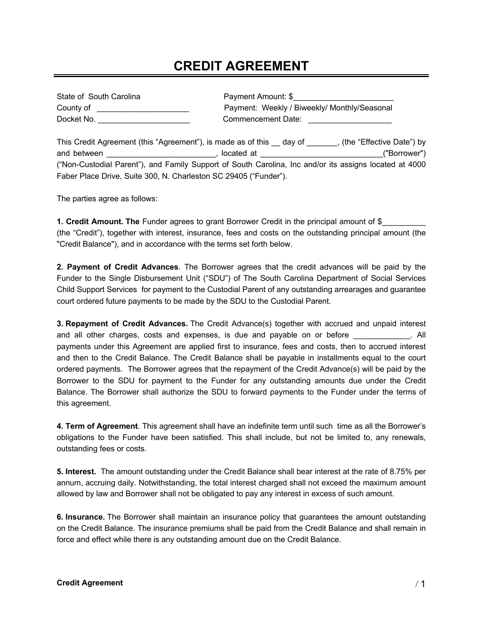## **CREDIT AGREEMENT**

| State of South Carolina | Payment Amount: \$                           |
|-------------------------|----------------------------------------------|
| County of               | Payment: Weekly / Biweekly/ Monthly/Seasonal |
| Docket No.              | Commencement Date:                           |

| <b>DUUNUL 190.</b> | ouninonounun bato.                                                     |                           |
|--------------------|------------------------------------------------------------------------|---------------------------|
|                    | This Credit Agreement (this "Agreement"), is made as of this<br>dav of | (the "Effective Date") by |
| and between        | located at                                                             | ("Borrower")              |

("Non-Custodial Parent"), and Family Support of South Carolina, Inc and/or its assigns located at 4000 Faber Place Drive, Suite 300, N. Charleston SC 29405 ("Funder").

The parties agree as follows:

**1. Credit Amount. The** Funder agrees to grant Borrower Credit in the principal amount of \$\_\_\_\_\_\_\_\_\_\_ (the "Credit"), together with interest, insurance, fees and costs on the outstanding principal amount (the "Credit Balance"), and in accordance with the terms set forth below.

**2. Payment of Credit Advances**. The Borrower agrees that the credit advances will be paid by the Funder to the Single Disbursement Unit ("SDU") of The South Carolina Department of Social Services Child Support Services for payment to the Custodial Parent of any outstanding arrearages and guarantee court ordered future payments to be made by the SDU to the Custodial Parent.

**3. Repayment of Credit Advances.** The Credit Advance(s) together with accrued and unpaid interest and all other charges, costs and expenses, is due and payable on or before  $\blacksquare$ payments under this Agreement are applied first to insurance, fees and costs, then to accrued interest and then to the Credit Balance. The Credit Balance shall be payable in installments equal to the court ordered payments. The Borrower agrees that the repayment of the Credit Advance(s) will be paid by the Borrower to the SDU for payment to the Funder for any outstanding amounts due under the Credit Balance. The Borrower shall authorize the SDU to forward payments to the Funder under the terms of this agreement.

**4. Term of Agreement**. This agreement shall have an indefinite term until such time as all the Borrower's obligations to the Funder have been satisfied. This shall include, but not be limited to, any renewals, outstanding fees or costs.

**5. Interest.** The amount outstanding under the Credit Balance shall bear interest at the rate of 8.75% per annum, accruing daily. Notwithstanding, the total interest charged shall not exceed the maximum amount allowed by law and Borrower shall not be obligated to pay any interest in excess of such amount.

**6. Insurance.** The Borrower shall maintain an insurance policy that guarantees the amount outstanding on the Credit Balance. The insurance premiums shall be paid from the Credit Balance and shall remain in force and effect while there is any outstanding amount due on the Credit Balance.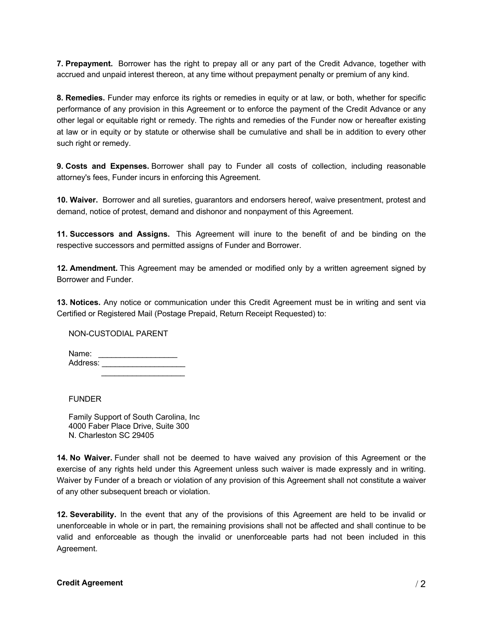**7. Prepayment.** Borrower has the right to prepay all or any part of the Credit Advance, together with accrued and unpaid interest thereon, at any time without prepayment penalty or premium of any kind.

**8. Remedies.** Funder may enforce its rights or remedies in equity or at law, or both, whether for specific performance of any provision in this Agreement or to enforce the payment of the Credit Advance or any other legal or equitable right or remedy. The rights and remedies of the Funder now or hereafter existing at law or in equity or by statute or otherwise shall be cumulative and shall be in addition to every other such right or remedy.

**9. Costs and Expenses.** Borrower shall pay to Funder all costs of collection, including reasonable attorney's fees, Funder incurs in enforcing this Agreement.

**10. Waiver.** Borrower and all sureties, guarantors and endorsers hereof, waive presentment, protest and demand, notice of protest, demand and dishonor and nonpayment of this Agreement.

**11. Successors and Assigns.** This Agreement will inure to the benefit of and be binding on the respective successors and permitted assigns of Funder and Borrower.

**12. Amendment.** This Agreement may be amended or modified only by a written agreement signed by Borrower and Funder.

**13. Notices.** Any notice or communication under this Credit Agreement must be in writing and sent via Certified or Registered Mail (Postage Prepaid, Return Receipt Requested) to:

NON-CUSTODIAL PARENT

Name: Address: \_\_\_\_\_\_\_\_\_\_\_\_\_\_\_\_\_\_\_  $\frac{1}{2}$  ,  $\frac{1}{2}$  ,  $\frac{1}{2}$  ,  $\frac{1}{2}$  ,  $\frac{1}{2}$  ,  $\frac{1}{2}$  ,  $\frac{1}{2}$  ,  $\frac{1}{2}$  ,  $\frac{1}{2}$  ,  $\frac{1}{2}$  ,  $\frac{1}{2}$  ,  $\frac{1}{2}$  ,  $\frac{1}{2}$  ,  $\frac{1}{2}$  ,  $\frac{1}{2}$  ,  $\frac{1}{2}$  ,  $\frac{1}{2}$  ,  $\frac{1}{2}$  ,  $\frac{1$ 

FUNDER

Family Support of South Carolina, Inc 4000 Faber Place Drive, Suite 300 N. Charleston SC 29405

**14. No Waiver.** Funder shall not be deemed to have waived any provision of this Agreement or the exercise of any rights held under this Agreement unless such waiver is made expressly and in writing. Waiver by Funder of a breach or violation of any provision of this Agreement shall not constitute a waiver of any other subsequent breach or violation.

**12. Severability.** In the event that any of the provisions of this Agreement are held to be invalid or unenforceable in whole or in part, the remaining provisions shall not be affected and shall continue to be valid and enforceable as though the invalid or unenforceable parts had not been included in this Agreement.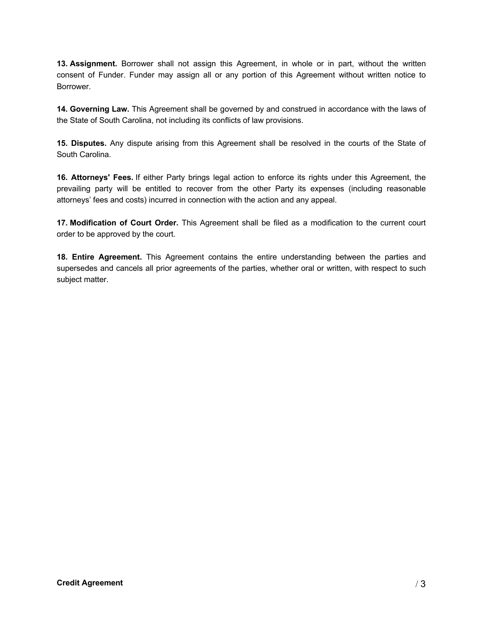**13. Assignment.** Borrower shall not assign this Agreement, in whole or in part, without the written consent of Funder. Funder may assign all or any portion of this Agreement without written notice to Borrower.

**14. Governing Law.** This Agreement shall be governed by and construed in accordance with the laws of the State of South Carolina, not including its conflicts of law provisions.

**15. Disputes.** Any dispute arising from this Agreement shall be resolved in the courts of the State of South Carolina.

**16. Attorneys' Fees.** If either Party brings legal action to enforce its rights under this Agreement, the prevailing party will be entitled to recover from the other Party its expenses (including reasonable attorneys' fees and costs) incurred in connection with the action and any appeal.

**17. Modification of Court Order.** This Agreement shall be filed as a modification to the current court order to be approved by the court.

**18. Entire Agreement.** This Agreement contains the entire understanding between the parties and supersedes and cancels all prior agreements of the parties, whether oral or written, with respect to such subject matter.